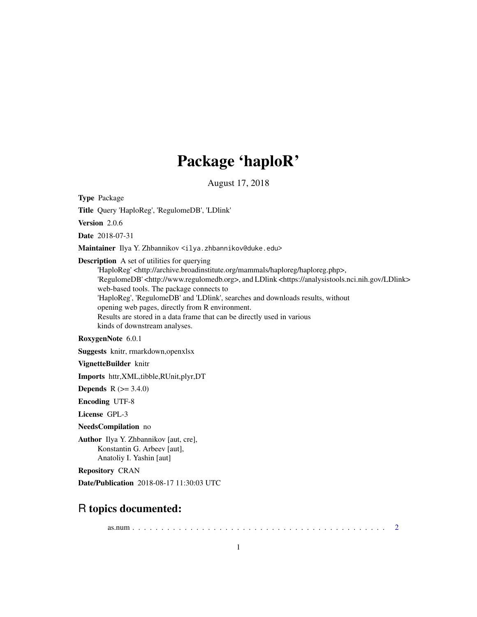## Package 'haploR'

August 17, 2018

Type Package

Title Query 'HaploReg', 'RegulomeDB', 'LDlink'

Version 2.0.6

Date 2018-07-31

Maintainer Ilya Y. Zhbannikov <ilya.zhbannikov@duke.edu>

Description A set of utilities for querying

'HaploReg' <http://archive.broadinstitute.org/mammals/haploreg/haploreg.php>, 'RegulomeDB' <http://www.regulomedb.org>, and LDlink <https://analysistools.nci.nih.gov/LDlink> web-based tools. The package connects to 'HaploReg', 'RegulomeDB' and 'LDlink', searches and downloads results, without opening web pages, directly from R environment. Results are stored in a data frame that can be directly used in various kinds of downstream analyses.

RoxygenNote 6.0.1

Suggests knitr, rmarkdown,openxlsx

VignetteBuilder knitr

Imports httr,XML,tibble,RUnit,plyr,DT

**Depends**  $R (= 3.4.0)$ 

Encoding UTF-8

License GPL-3

NeedsCompilation no

Author Ilya Y. Zhbannikov [aut, cre], Konstantin G. Arbeev [aut], Anatoliy I. Yashin [aut]

Repository CRAN

Date/Publication 2018-08-17 11:30:03 UTC

### R topics documented:

as.num . . . . . . . . . . . . . . . . . . . . . . . . . . . . . . . . . . . . . . . . . . . . [2](#page-1-0)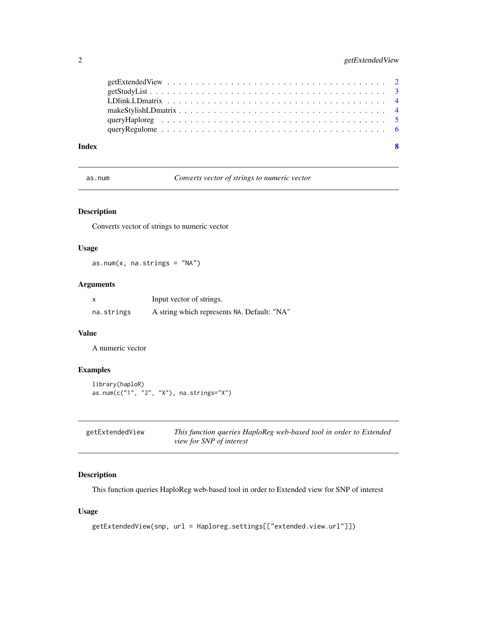#### <span id="page-1-0"></span>2 getExtendedView

| Index | - 8 |
|-------|-----|
|       |     |
|       |     |
|       |     |
|       |     |
|       |     |
|       |     |

as.num *Converts vector of strings to numeric vector*

#### Description

Converts vector of strings to numeric vector

#### Usage

as.num $(x, \text{na.strings} = "NA")$ 

#### Arguments

| x          | Input vector of strings.                    |
|------------|---------------------------------------------|
| na.strings | A string which represents NA. Default: "NA" |

#### Value

A numeric vector

#### Examples

```
library(haploR)
as.num(c("1", "2", "X"), na.strings="X")
```

| getExtendedView | This function queries HaploReg web-based tool in order to Extended |
|-----------------|--------------------------------------------------------------------|
|                 | <i>view for SNP of interest</i>                                    |

#### Description

This function queries HaploReg web-based tool in order to Extended view for SNP of interest

#### Usage

```
getExtendedView(snp, url = Haploreg.settings[["extended.view.url"]])
```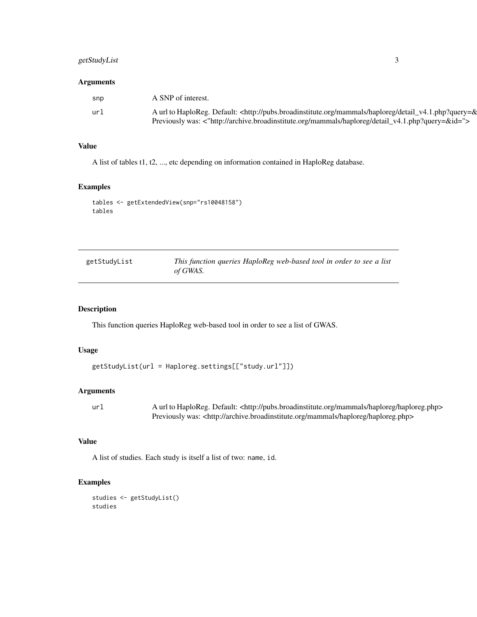#### <span id="page-2-0"></span>getStudyList 3

#### Arguments

| snp | A SNP of interest.                                                                                                                 |
|-----|------------------------------------------------------------------------------------------------------------------------------------|
| ur1 | A url to HaploReg. Default: <http: detail_v4.1.php?query="&amp;&lt;/td" haploreg="" mammals="" pubs.broadinstitute.org=""></http:> |
|     | Previously was: <"http://archive.broadinstitute.org/mammals/haploreg/detail_v4.1.php?query=&id=">                                  |

#### Value

A list of tables t1, t2, ..., etc depending on information contained in HaploReg database.

#### Examples

```
tables <- getExtendedView(snp="rs10048158")
tables
```

| getStudyList | This function queries HaploReg web-based tool in order to see a list |
|--------------|----------------------------------------------------------------------|
|              | of GWAS.                                                             |

#### Description

This function queries HaploReg web-based tool in order to see a list of GWAS.

#### Usage

getStudyList(url = Haploreg.settings[["study.url"]])

#### Arguments

url Aurl to HaploReg. Default: <http://pubs.broadinstitute.org/mammals/haploreg/haploreg.php> Previously was: <http://archive.broadinstitute.org/mammals/haploreg/haploreg.php>

#### Value

A list of studies. Each study is itself a list of two: name, id.

#### Examples

studies <- getStudyList() studies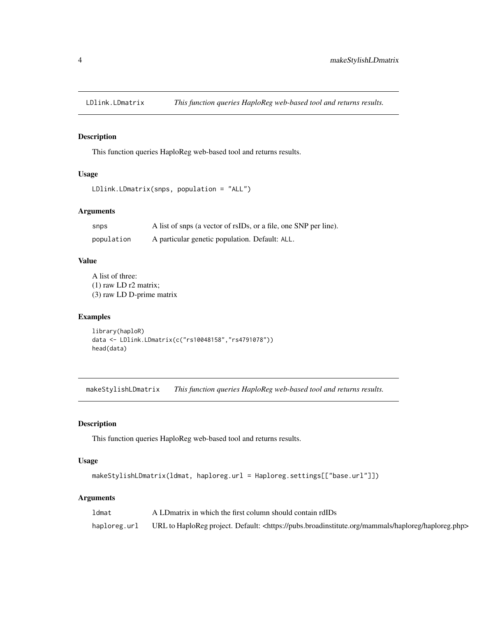<span id="page-3-0"></span>

#### Description

This function queries HaploReg web-based tool and returns results.

#### Usage

```
LDlink.LDmatrix(snps, population = "ALL")
```
#### Arguments

| snps       | A list of snps (a vector of rsIDs, or a file, one SNP per line). |
|------------|------------------------------------------------------------------|
| population | A particular genetic population. Default: ALL.                   |

#### Value

A list of three: (1) raw LD r2 matrix; (3) raw LD D-prime matrix

#### Examples

```
library(haploR)
data <- LDlink.LDmatrix(c("rs10048158","rs4791078"))
head(data)
```
makeStylishLDmatrix *This function queries HaploReg web-based tool and returns results.*

#### Description

This function queries HaploReg web-based tool and returns results.

#### Usage

```
makeStylishLDmatrix(ldmat, haploreg.url = Haploreg.settings[["base.url"]])
```
#### Arguments

| ldmat        | A LD matrix in which the first column should contain rdIDs                                                            |
|--------------|-----------------------------------------------------------------------------------------------------------------------|
| haploreg.url | URL to HaploReg project. Default: <https: haploreg="" haploreg.php="" mammals="" pubs.broadinstitute.org=""></https:> |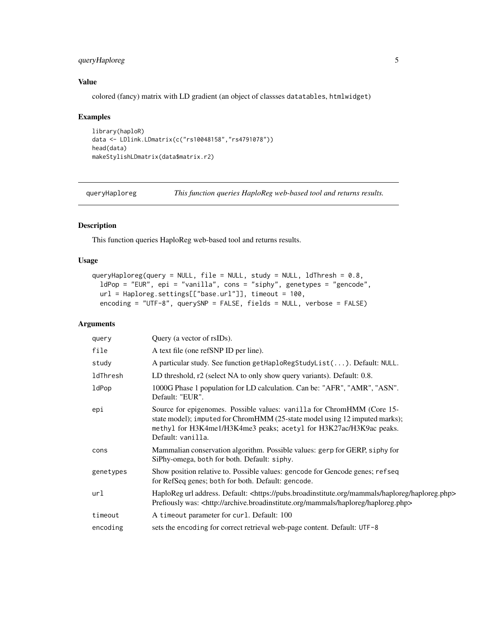#### <span id="page-4-0"></span>queryHaploreg 5

#### Value

colored (fancy) matrix with LD gradient (an object of classses datatables, htmlwidget)

#### Examples

```
library(haploR)
data <- LDlink.LDmatrix(c("rs10048158","rs4791078"))
head(data)
makeStylishLDmatrix(data$matrix.r2)
```
queryHaploreg *This function queries HaploReg web-based tool and returns results.*

#### Description

This function queries HaploReg web-based tool and returns results.

#### Usage

```
queryHaploreg(query = NULL, file = NULL, study = NULL, ldThresh = 0.8,
 ldPop = "EUR", epi = "vanilla", cons = "siphy", genetypes = "gencode",
 url = Haploreg.settings[["base.url"]], timeout = 100,
 encoding = "UTF-8", querySNP = FALSE, fields = NULL, verbose = FALSE)
```
#### Arguments

| query     | Query (a vector of rsIDs).                                                                                                                                                                                                                       |
|-----------|--------------------------------------------------------------------------------------------------------------------------------------------------------------------------------------------------------------------------------------------------|
| file      | A text file (one refSNP ID per line).                                                                                                                                                                                                            |
| study     | A particular study. See function getHaploRegStudyList(). Default: NULL.                                                                                                                                                                          |
| ldThresh  | LD threshold, r2 (select NA to only show query variants). Default: 0.8.                                                                                                                                                                          |
| ldPop     | 1000G Phase 1 population for LD calculation. Can be: "AFR", "AMR", "ASN".<br>Default: "EUR".                                                                                                                                                     |
| epi       | Source for epigenomes. Possible values: vanilla for ChromHMM (Core 15-<br>state model); imputed for ChromHMM (25-state model using 12 imputed marks);<br>methyl for H3K4me1/H3K4me3 peaks; acetyl for H3K27ac/H3K9ac peaks.<br>Default: vanilla. |
| cons      | Mammalian conservation algorithm. Possible values: gerp for GERP, siphy for<br>SiPhy-omega, both for both. Default: siphy.                                                                                                                       |
| genetypes | Show position relative to. Possible values: gencode for Gencode genes; refseq<br>for RefSeq genes; both for both. Default: gencode.                                                                                                              |
| url       | HaploReg url address. Default: <https: haploreg="" haploreg.php="" mammals="" pubs.broadinstitute.org=""><br/>Prefiously was: <http: archive.broadinstitute.org="" haploreg="" haploreg.php="" mammals=""></http:></https:>                      |
| timeout   | A timeout parameter for curl. Default: 100                                                                                                                                                                                                       |
| encoding  | sets the encoding for correct retrieval web-page content. Default: UTF-8                                                                                                                                                                         |
|           |                                                                                                                                                                                                                                                  |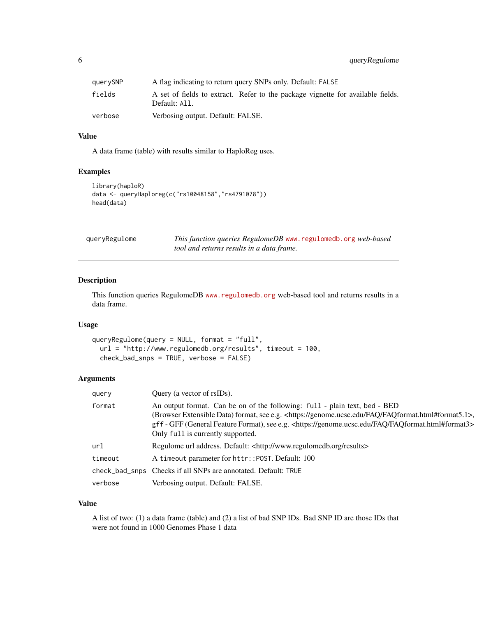<span id="page-5-0"></span>

| querySNP | A flag indicating to return query SNPs only. Default: FALSE                                      |  |
|----------|--------------------------------------------------------------------------------------------------|--|
| fields   | A set of fields to extract. Refer to the package vignette for available fields.<br>Default: All. |  |
| verbose  | Verbosing output. Default: FALSE.                                                                |  |

#### Value

A data frame (table) with results similar to HaploReg uses.

#### Examples

```
library(haploR)
data <- queryHaploreg(c("rs10048158","rs4791078"))
head(data)
```

| queryRegulome | This function queries RegulomeDB www.regulomedb.org web-based |
|---------------|---------------------------------------------------------------|
|               | tool and returns results in a data frame.                     |

#### Description

This function queries RegulomeDB <www.regulomedb.org> web-based tool and returns results in a data frame.

#### Usage

```
queryRegulome(query = NULL, format = "full",
 url = "http://www.regulomedb.org/results", timeout = 100,
 check_bad_snps = TRUE, verbose = FALSE)
```
#### Arguments

| query   | Query (a vector of rsIDs).                                                                                                                                                                                                                                                                                                                                     |  |
|---------|----------------------------------------------------------------------------------------------------------------------------------------------------------------------------------------------------------------------------------------------------------------------------------------------------------------------------------------------------------------|--|
| format  | An output format. Can be on of the following: full - plain text, bed - BED<br>(Browser Extensible Data) format, see e.g. <https: faq="" faqformat.html#format5.1="" genome.ucsc.edu="">,<br/>gff - GFF (General Feature Format), see e.g. <https: faq="" faqformat.html#format3="" genome.ucsc.edu=""><br/>Only full is currently supported.</https:></https:> |  |
| url     | Regulome url address. Default: <http: results="" www.regulomedb.org=""></http:>                                                                                                                                                                                                                                                                                |  |
| timeout | A timeout parameter for httr:: POST. Default: 100                                                                                                                                                                                                                                                                                                              |  |
|         | check_bad_snps Checks if all SNPs are annotated. Default: TRUE                                                                                                                                                                                                                                                                                                 |  |
| verbose | Verbosing output. Default: FALSE.                                                                                                                                                                                                                                                                                                                              |  |

#### Value

A list of two: (1) a data frame (table) and (2) a list of bad SNP IDs. Bad SNP ID are those IDs that were not found in 1000 Genomes Phase 1 data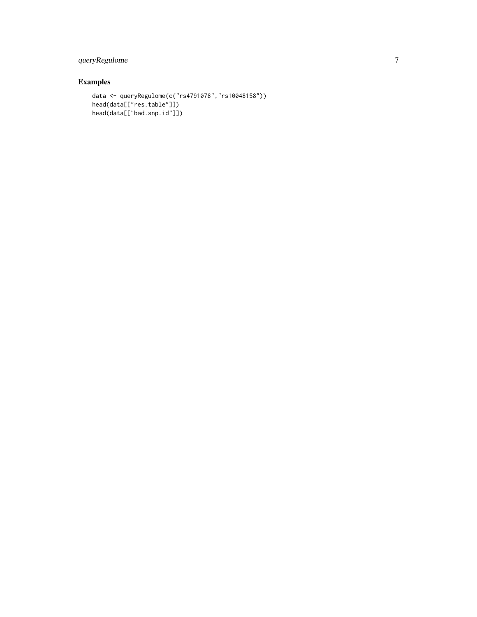#### queryRegulome 7

#### Examples

```
data <- queryRegulome(c("rs4791078","rs10048158"))
head(data[["res.table"]])
head(data[["bad.snp.id"]])
```